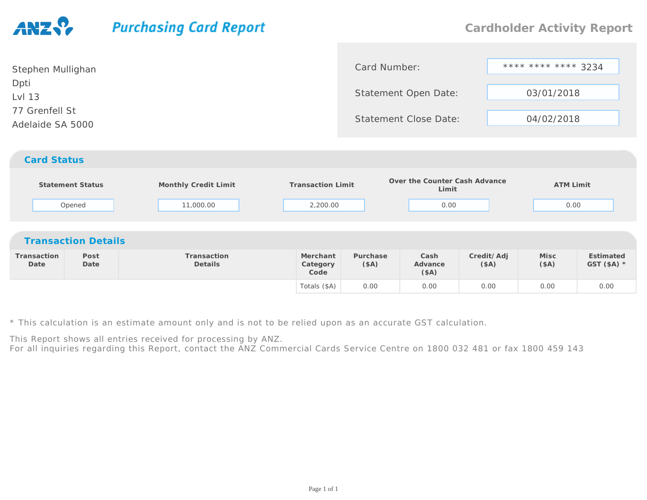## **Purchasing Card Report**

| Stephen Mullighan                  | Card Number:                 | **** **** **** 3234 |
|------------------------------------|------------------------------|---------------------|
| Dpti<br>Lvl 13                     | Statement Open Date:         | 03/01/2018          |
| 77 Grenfell St<br>Adelaide SA 5000 | <b>Statement Close Date:</b> | 04/02/2018          |
| <b>Card Status</b>                 |                              |                     |

| <b>Statement Status</b><br>Opened |                            | Monthly Credit Limit<br>11,000.00 | <b>Transaction Limit</b><br>2,200.00 |                  | Over the Counter Cash Advance<br>Limit<br>0.00 |                    | <b>ATM Limit</b><br>0.00 |                           |
|-----------------------------------|----------------------------|-----------------------------------|--------------------------------------|------------------|------------------------------------------------|--------------------|--------------------------|---------------------------|
|                                   | <b>Transaction Details</b> |                                   |                                      |                  |                                                |                    |                          |                           |
| Transaction<br>Date               | Post<br>Date               | Transaction<br>Details            | Merchant<br>Category<br>Code         | Purchase<br>(SA) | Cash<br>Advance<br>(\$A)                       | Credit/Adj<br>(SA) | Misc<br>(SA)             | Estimated<br>GST $(SA)$ * |
|                                   |                            |                                   | Totals (\$A)                         | 0.00             | 0.00                                           | 0.00               | 0.00                     | 0.00                      |

\* This calculation is an estimate amount only and is not to be relied upon as an accurate GST calculation.

This Report shows all entries received for processing by ANZ.

For all inquiries regarding this Report, contact the ANZ Commercial Cards Service Centre on 1800 032 481 or fax 1800 459 143